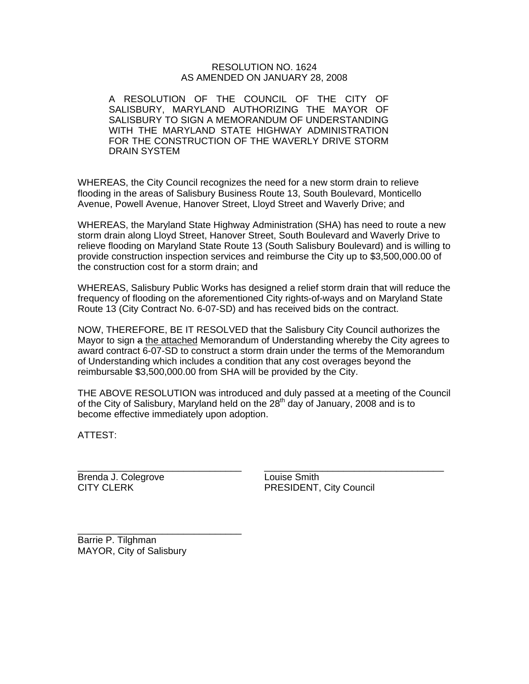### RESOLUTION NO. 1624 AS AMENDED ON JANUARY 28, 2008

A RESOLUTION OF THE COUNCIL OF THE CITY OF SALISBURY, MARYLAND AUTHORIZING THE MAYOR OF SALISBURY TO SIGN A MEMORANDUM OF UNDERSTANDING WITH THE MARYLAND STATE HIGHWAY ADMINISTRATION FOR THE CONSTRUCTION OF THE WAVERLY DRIVE STORM DRAIN SYSTEM

WHEREAS, the City Council recognizes the need for a new storm drain to relieve flooding in the areas of Salisbury Business Route 13, South Boulevard, Monticello Avenue, Powell Avenue, Hanover Street, Lloyd Street and Waverly Drive; and

WHEREAS, the Maryland State Highway Administration (SHA) has need to route a new storm drain along Lloyd Street, Hanover Street, South Boulevard and Waverly Drive to relieve flooding on Maryland State Route 13 (South Salisbury Boulevard) and is willing to provide construction inspection services and reimburse the City up to \$3,500,000.00 of the construction cost for a storm drain; and

WHEREAS, Salisbury Public Works has designed a relief storm drain that will reduce the frequency of flooding on the aforementioned City rights-of-ways and on Maryland State Route 13 (City Contract No. 6-07-SD) and has received bids on the contract.

NOW, THEREFORE, BE IT RESOLVED that the Salisbury City Council authorizes the Mayor to sign a the attached Memorandum of Understanding whereby the City agrees to award contract 6-07-SD to construct a storm drain under the terms of the Memorandum of Understanding which includes a condition that any cost overages beyond the reimbursable \$3,500,000.00 from SHA will be provided by the City.

THE ABOVE RESOLUTION was introduced and duly passed at a meeting of the Council of the City of Salisbury, Maryland held on the  $28<sup>th</sup>$  day of January, 2008 and is to become effective immediately upon adoption.

 $\overline{\phantom{a}}$  , and the contract of the contract of the contract of the contract of the contract of the contract of the contract of the contract of the contract of the contract of the contract of the contract of the contrac

ATTEST:

Brenda J. Colegrove **Louise Smith** 

CITY CLERK **PRESIDENT, City Council** 

\_\_\_\_\_\_\_\_\_\_\_\_\_\_\_\_\_\_\_\_\_\_\_\_\_\_\_\_\_\_\_ Barrie P. Tilghman MAYOR, City of Salisbury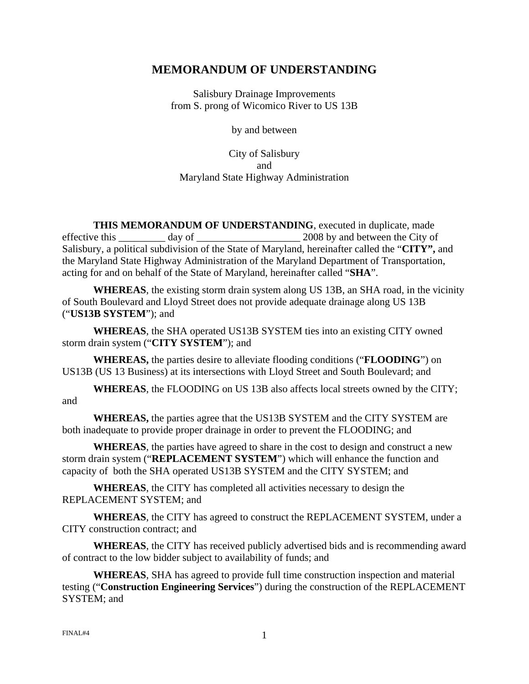# **MEMORANDUM OF UNDERSTANDING**

Salisbury Drainage Improvements from S. prong of Wicomico River to US 13B

by and between

City of Salisbury and Maryland State Highway Administration

 **THIS MEMORANDUM OF UNDERSTANDING**, executed in duplicate, made effective this day of  $2008$  by and between the City of Salisbury, a political subdivision of the State of Maryland, hereinafter called the "**CITY",** and the Maryland State Highway Administration of the Maryland Department of Transportation, acting for and on behalf of the State of Maryland, hereinafter called "**SHA**".

**WHEREAS**, the existing storm drain system along US 13B, an SHA road, in the vicinity of South Boulevard and Lloyd Street does not provide adequate drainage along US 13B ("**US13B SYSTEM**"); and

**WHEREAS**, the SHA operated US13B SYSTEM ties into an existing CITY owned storm drain system ("**CITY SYSTEM**"); and

**WHEREAS,** the parties desire to alleviate flooding conditions ("**FLOODING**") on US13B (US 13 Business) at its intersections with Lloyd Street and South Boulevard; and

**WHEREAS**, the FLOODING on US 13B also affects local streets owned by the CITY; and

**WHEREAS,** the parties agree that the US13B SYSTEM and the CITY SYSTEM are both inadequate to provide proper drainage in order to prevent the FLOODING; and

**WHEREAS**, the parties have agreed to share in the cost to design and construct a new storm drain system ("**REPLACEMENT SYSTEM**") which will enhance the function and capacity of both the SHA operated US13B SYSTEM and the CITY SYSTEM; and

**WHEREAS**, the CITY has completed all activities necessary to design the REPLACEMENT SYSTEM; and

**WHEREAS**, the CITY has agreed to construct the REPLACEMENT SYSTEM, under a CITY construction contract; and

**WHEREAS**, the CITY has received publicly advertised bids and is recommending award of contract to the low bidder subject to availability of funds; and

**WHEREAS**, SHA has agreed to provide full time construction inspection and material testing ("**Construction Engineering Services**") during the construction of the REPLACEMENT SYSTEM; and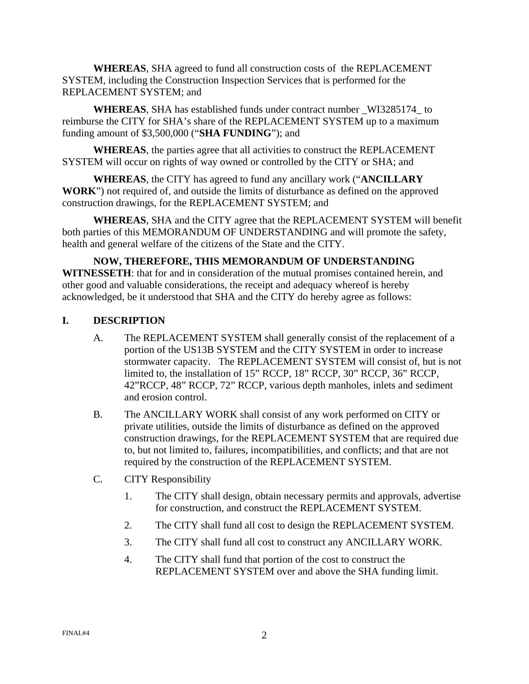**WHEREAS**, SHA agreed to fund all construction costs of the REPLACEMENT SYSTEM, including the Construction Inspection Services that is performed for the REPLACEMENT SYSTEM; and

**WHEREAS**, SHA has established funds under contract number \_WI3285174\_ to reimburse the CITY for SHA's share of the REPLACEMENT SYSTEM up to a maximum funding amount of \$3,500,000 ("**SHA FUNDING**"); and

**WHEREAS**, the parties agree that all activities to construct the REPLACEMENT SYSTEM will occur on rights of way owned or controlled by the CITY or SHA; and

**WHEREAS**, the CITY has agreed to fund any ancillary work ("**ANCILLARY WORK**") not required of, and outside the limits of disturbance as defined on the approved construction drawings, for the REPLACEMENT SYSTEM; and

 **WHEREAS**, SHA and the CITY agree that the REPLACEMENT SYSTEM will benefit both parties of this MEMORANDUM OF UNDERSTANDING and will promote the safety, health and general welfare of the citizens of the State and the CITY.

 **NOW, THEREFORE, THIS MEMORANDUM OF UNDERSTANDING WITNESSETH**: that for and in consideration of the mutual promises contained herein, and other good and valuable considerations, the receipt and adequacy whereof is hereby acknowledged, be it understood that SHA and the CITY do hereby agree as follows:

## **I. DESCRIPTION**

- A. The REPLACEMENT SYSTEM shall generally consist of the replacement of a portion of the US13B SYSTEM and the CITY SYSTEM in order to increase stormwater capacity. The REPLACEMENT SYSTEM will consist of, but is not limited to, the installation of 15" RCCP, 18" RCCP, 30" RCCP, 36" RCCP, 42"RCCP, 48" RCCP, 72" RCCP, various depth manholes, inlets and sediment and erosion control.
- B. The ANCILLARY WORK shall consist of any work performed on CITY or private utilities, outside the limits of disturbance as defined on the approved construction drawings, for the REPLACEMENT SYSTEM that are required due to, but not limited to, failures, incompatibilities, and conflicts; and that are not required by the construction of the REPLACEMENT SYSTEM.
- C. CITY Responsibility
	- 1. The CITY shall design, obtain necessary permits and approvals, advertise for construction, and construct the REPLACEMENT SYSTEM.
	- 2. The CITY shall fund all cost to design the REPLACEMENT SYSTEM.
	- 3. The CITY shall fund all cost to construct any ANCILLARY WORK.
	- 4. The CITY shall fund that portion of the cost to construct the REPLACEMENT SYSTEM over and above the SHA funding limit.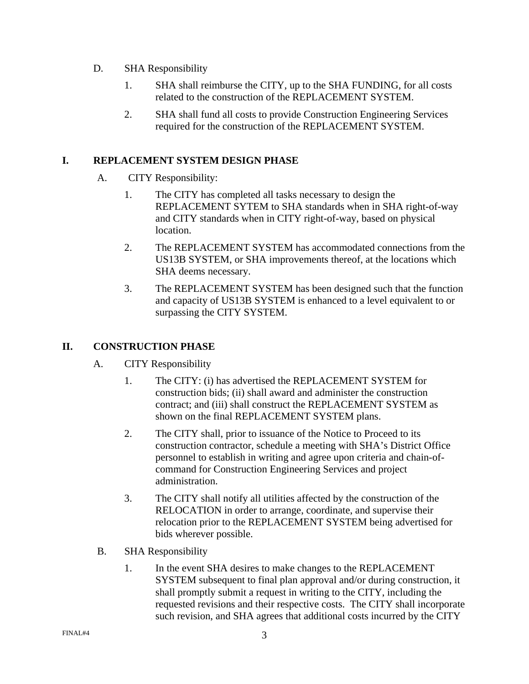- D. SHA Responsibility
	- 1. SHA shall reimburse the CITY, up to the SHA FUNDING, for all costs related to the construction of the REPLACEMENT SYSTEM.
	- 2. SHA shall fund all costs to provide Construction Engineering Services required for the construction of the REPLACEMENT SYSTEM.

# **I. REPLACEMENT SYSTEM DESIGN PHASE**

- A. CITY Responsibility:
	- 1. The CITY has completed all tasks necessary to design the REPLACEMENT SYTEM to SHA standards when in SHA right-of-way and CITY standards when in CITY right-of-way, based on physical location.
	- 2. The REPLACEMENT SYSTEM has accommodated connections from the US13B SYSTEM, or SHA improvements thereof, at the locations which SHA deems necessary.
	- 3. The REPLACEMENT SYSTEM has been designed such that the function and capacity of US13B SYSTEM is enhanced to a level equivalent to or surpassing the CITY SYSTEM.

# **II. CONSTRUCTION PHASE**

- A. CITY Responsibility
	- 1. The CITY: (i) has advertised the REPLACEMENT SYSTEM for construction bids; (ii) shall award and administer the construction contract; and (iii) shall construct the REPLACEMENT SYSTEM as shown on the final REPLACEMENT SYSTEM plans.
	- 2. The CITY shall, prior to issuance of the Notice to Proceed to its construction contractor, schedule a meeting with SHA's District Office personnel to establish in writing and agree upon criteria and chain-ofcommand for Construction Engineering Services and project administration.
	- 3. The CITY shall notify all utilities affected by the construction of the RELOCATION in order to arrange, coordinate, and supervise their relocation prior to the REPLACEMENT SYSTEM being advertised for bids wherever possible.
- B. SHA Responsibility
	- 1. In the event SHA desires to make changes to the REPLACEMENT SYSTEM subsequent to final plan approval and/or during construction, it shall promptly submit a request in writing to the CITY, including the requested revisions and their respective costs. The CITY shall incorporate such revision, and SHA agrees that additional costs incurred by the CITY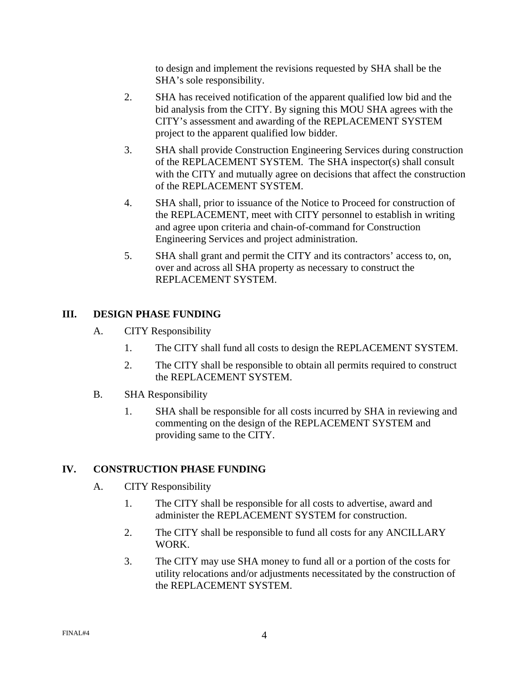to design and implement the revisions requested by SHA shall be the SHA's sole responsibility.

- 2. SHA has received notification of the apparent qualified low bid and the bid analysis from the CITY. By signing this MOU SHA agrees with the CITY's assessment and awarding of the REPLACEMENT SYSTEM project to the apparent qualified low bidder.
- 3. SHA shall provide Construction Engineering Services during construction of the REPLACEMENT SYSTEM. The SHA inspector(s) shall consult with the CITY and mutually agree on decisions that affect the construction of the REPLACEMENT SYSTEM.
- 4. SHA shall, prior to issuance of the Notice to Proceed for construction of the REPLACEMENT, meet with CITY personnel to establish in writing and agree upon criteria and chain-of-command for Construction Engineering Services and project administration.
- 5. SHA shall grant and permit the CITY and its contractors' access to, on, over and across all SHA property as necessary to construct the REPLACEMENT SYSTEM.

# **III. DESIGN PHASE FUNDING**

- A. CITY Responsibility
	- 1. The CITY shall fund all costs to design the REPLACEMENT SYSTEM.
	- 2. The CITY shall be responsible to obtain all permits required to construct the REPLACEMENT SYSTEM.
- B. SHA Responsibility
	- 1. SHA shall be responsible for all costs incurred by SHA in reviewing and commenting on the design of the REPLACEMENT SYSTEM and providing same to the CITY.

# **IV. CONSTRUCTION PHASE FUNDING**

- A. CITY Responsibility
	- 1. The CITY shall be responsible for all costs to advertise, award and administer the REPLACEMENT SYSTEM for construction.
	- 2. The CITY shall be responsible to fund all costs for any ANCILLARY WORK.
	- 3. The CITY may use SHA money to fund all or a portion of the costs for utility relocations and/or adjustments necessitated by the construction of the REPLACEMENT SYSTEM.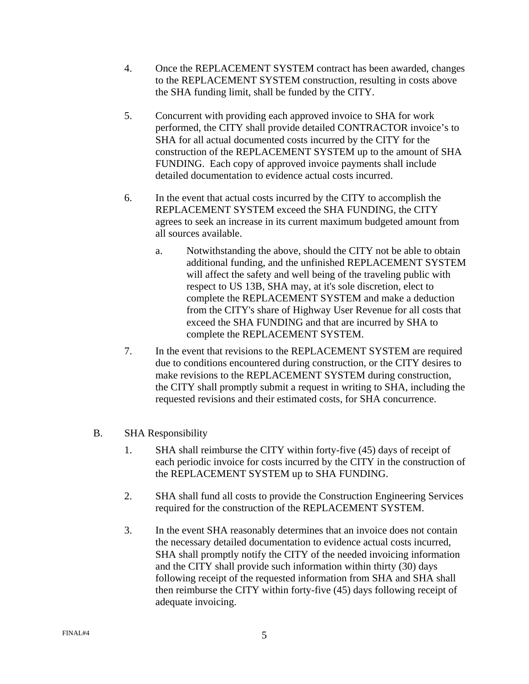- 4. Once the REPLACEMENT SYSTEM contract has been awarded, changes to the REPLACEMENT SYSTEM construction, resulting in costs above the SHA funding limit, shall be funded by the CITY.
- 5. Concurrent with providing each approved invoice to SHA for work performed, the CITY shall provide detailed CONTRACTOR invoice's to SHA for all actual documented costs incurred by the CITY for the construction of the REPLACEMENT SYSTEM up to the amount of SHA FUNDING. Each copy of approved invoice payments shall include detailed documentation to evidence actual costs incurred.
- 6. In the event that actual costs incurred by the CITY to accomplish the REPLACEMENT SYSTEM exceed the SHA FUNDING, the CITY agrees to seek an increase in its current maximum budgeted amount from all sources available.
	- a. Notwithstanding the above, should the CITY not be able to obtain additional funding, and the unfinished REPLACEMENT SYSTEM will affect the safety and well being of the traveling public with respect to US 13B, SHA may, at it's sole discretion, elect to complete the REPLACEMENT SYSTEM and make a deduction from the CITY's share of Highway User Revenue for all costs that exceed the SHA FUNDING and that are incurred by SHA to complete the REPLACEMENT SYSTEM.
- 7. In the event that revisions to the REPLACEMENT SYSTEM are required due to conditions encountered during construction, or the CITY desires to make revisions to the REPLACEMENT SYSTEM during construction, the CITY shall promptly submit a request in writing to SHA, including the requested revisions and their estimated costs, for SHA concurrence.
- B. SHA Responsibility
	- 1. SHA shall reimburse the CITY within forty-five (45) days of receipt of each periodic invoice for costs incurred by the CITY in the construction of the REPLACEMENT SYSTEM up to SHA FUNDING.
	- 2. SHA shall fund all costs to provide the Construction Engineering Services required for the construction of the REPLACEMENT SYSTEM.
	- 3. In the event SHA reasonably determines that an invoice does not contain the necessary detailed documentation to evidence actual costs incurred, SHA shall promptly notify the CITY of the needed invoicing information and the CITY shall provide such information within thirty (30) days following receipt of the requested information from SHA and SHA shall then reimburse the CITY within forty-five (45) days following receipt of adequate invoicing.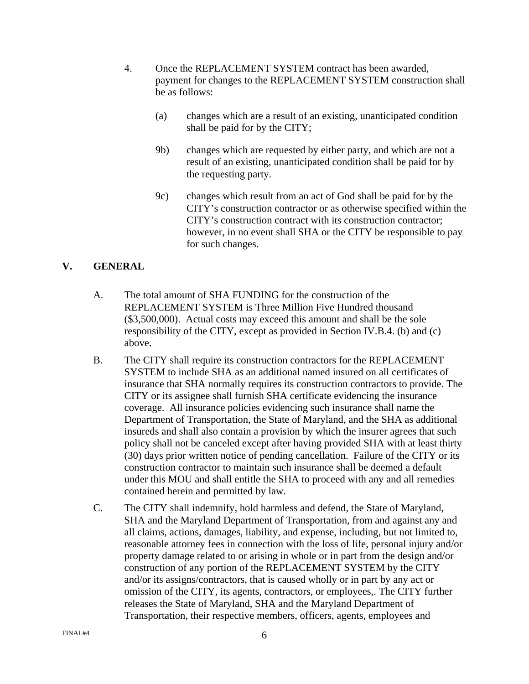- 4. Once the REPLACEMENT SYSTEM contract has been awarded, payment for changes to the REPLACEMENT SYSTEM construction shall be as follows:
	- (a) changes which are a result of an existing, unanticipated condition shall be paid for by the CITY;
	- 9b) changes which are requested by either party, and which are not a result of an existing, unanticipated condition shall be paid for by the requesting party.
	- 9c) changes which result from an act of God shall be paid for by the CITY's construction contractor or as otherwise specified within the CITY's construction contract with its construction contractor; however, in no event shall SHA or the CITY be responsible to pay for such changes.

# **V. GENERAL**

- A. The total amount of SHA FUNDING for the construction of the REPLACEMENT SYSTEM is Three Million Five Hundred thousand (\$3,500,000). Actual costs may exceed this amount and shall be the sole responsibility of the CITY, except as provided in Section IV.B.4. (b) and (c) above.
- B. The CITY shall require its construction contractors for the REPLACEMENT SYSTEM to include SHA as an additional named insured on all certificates of insurance that SHA normally requires its construction contractors to provide. The CITY or its assignee shall furnish SHA certificate evidencing the insurance coverage. All insurance policies evidencing such insurance shall name the Department of Transportation, the State of Maryland, and the SHA as additional insureds and shall also contain a provision by which the insurer agrees that such policy shall not be canceled except after having provided SHA with at least thirty (30) days prior written notice of pending cancellation. Failure of the CITY or its construction contractor to maintain such insurance shall be deemed a default under this MOU and shall entitle the SHA to proceed with any and all remedies contained herein and permitted by law.
- C. The CITY shall indemnify, hold harmless and defend, the State of Maryland, SHA and the Maryland Department of Transportation, from and against any and all claims, actions, damages, liability, and expense, including, but not limited to, reasonable attorney fees in connection with the loss of life, personal injury and/or property damage related to or arising in whole or in part from the design and/or construction of any portion of the REPLACEMENT SYSTEM by the CITY and/or its assigns/contractors, that is caused wholly or in part by any act or omission of the CITY, its agents, contractors, or employees,. The CITY further releases the State of Maryland, SHA and the Maryland Department of Transportation, their respective members, officers, agents, employees and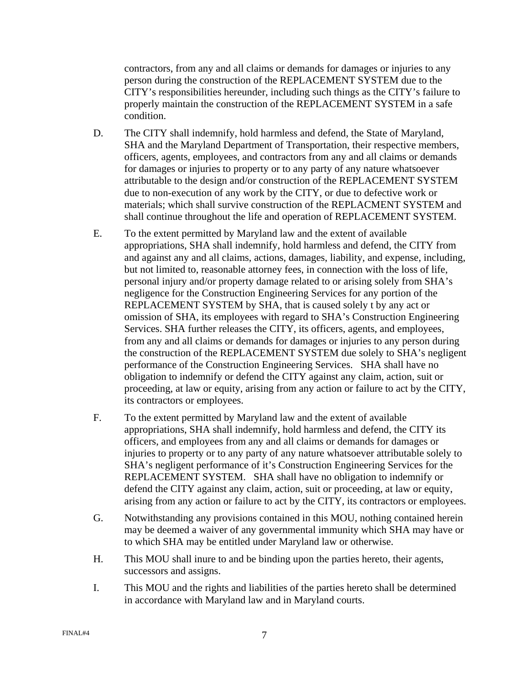contractors, from any and all claims or demands for damages or injuries to any person during the construction of the REPLACEMENT SYSTEM due to the CITY's responsibilities hereunder, including such things as the CITY's failure to properly maintain the construction of the REPLACEMENT SYSTEM in a safe condition.

- D. The CITY shall indemnify, hold harmless and defend, the State of Maryland, SHA and the Maryland Department of Transportation, their respective members, officers, agents, employees, and contractors from any and all claims or demands for damages or injuries to property or to any party of any nature whatsoever attributable to the design and/or construction of the REPLACEMENT SYSTEM due to non-execution of any work by the CITY, or due to defective work or materials; which shall survive construction of the REPLACMENT SYSTEM and shall continue throughout the life and operation of REPLACEMENT SYSTEM.
- E. To the extent permitted by Maryland law and the extent of available appropriations, SHA shall indemnify, hold harmless and defend, the CITY from and against any and all claims, actions, damages, liability, and expense, including, but not limited to, reasonable attorney fees, in connection with the loss of life, personal injury and/or property damage related to or arising solely from SHA's negligence for the Construction Engineering Services for any portion of the REPLACEMENT SYSTEM by SHA, that is caused solely t by any act or omission of SHA, its employees with regard to SHA's Construction Engineering Services. SHA further releases the CITY, its officers, agents, and employees, from any and all claims or demands for damages or injuries to any person during the construction of the REPLACEMENT SYSTEM due solely to SHA's negligent performance of the Construction Engineering Services. SHA shall have no obligation to indemnify or defend the CITY against any claim, action, suit or proceeding, at law or equity, arising from any action or failure to act by the CITY, its contractors or employees.
- F. To the extent permitted by Maryland law and the extent of available appropriations, SHA shall indemnify, hold harmless and defend, the CITY its officers, and employees from any and all claims or demands for damages or injuries to property or to any party of any nature whatsoever attributable solely to SHA's negligent performance of it's Construction Engineering Services for the REPLACEMENT SYSTEM. SHA shall have no obligation to indemnify or defend the CITY against any claim, action, suit or proceeding, at law or equity, arising from any action or failure to act by the CITY, its contractors or employees.
- G. Notwithstanding any provisions contained in this MOU, nothing contained herein may be deemed a waiver of any governmental immunity which SHA may have or to which SHA may be entitled under Maryland law or otherwise.
- H. This MOU shall inure to and be binding upon the parties hereto, their agents, successors and assigns.
- I. This MOU and the rights and liabilities of the parties hereto shall be determined in accordance with Maryland law and in Maryland courts.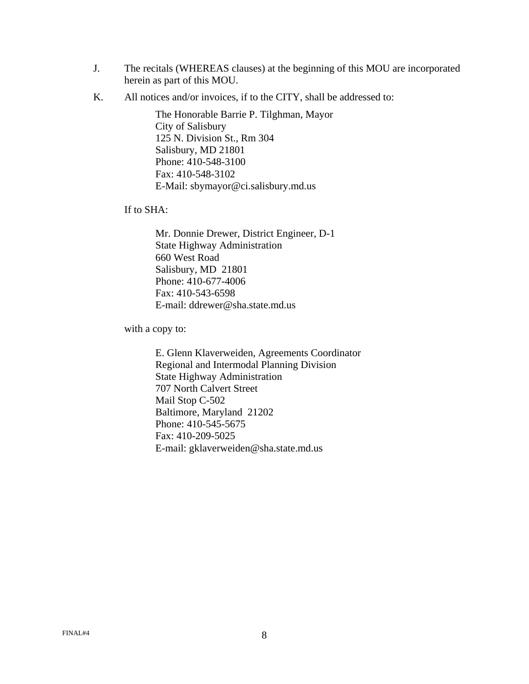- J. The recitals (WHEREAS clauses) at the beginning of this MOU are incorporated herein as part of this MOU.
- K. All notices and/or invoices, if to the CITY, shall be addressed to:

The Honorable Barrie P. Tilghman, Mayor City of Salisbury 125 N. Division St., Rm 304 Salisbury, MD 21801 Phone: 410-548-3100 Fax: 410-548-3102 E-Mail: [sbymayor@ci.salisbury.md.us](mailto:sbymayor@ci.salisbury.md.us) 

If to SHA:

Mr. Donnie Drewer, District Engineer, D-1 State Highway Administration 660 West Road Salisbury, MD 21801 Phone: 410-677-4006 Fax: 410-543-6598 E-mail: ddrewer@sha.state.md.us

with a copy to:

E. Glenn Klaverweiden, Agreements Coordinator Regional and Intermodal Planning Division State Highway Administration 707 North Calvert Street Mail Stop C-502 Baltimore, Maryland 21202 Phone: 410-545-5675 Fax: 410-209-5025 E-mail: gklaverweiden@sha.state.md.us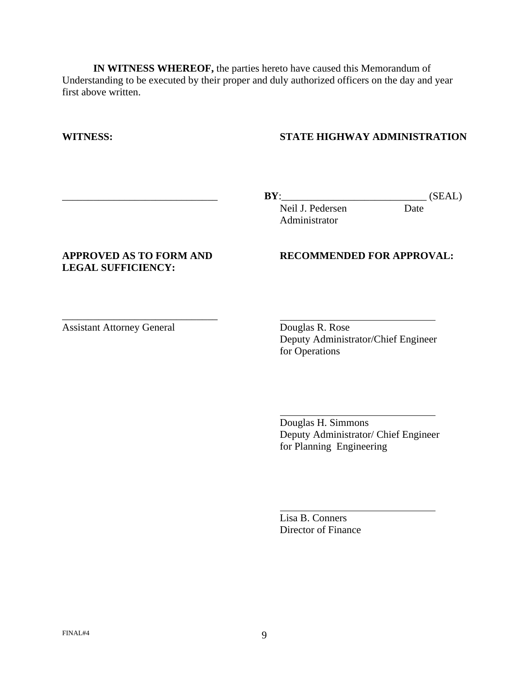**IN WITNESS WHEREOF,** the parties hereto have caused this Memorandum of Understanding to be executed by their proper and duly authorized officers on the day and year first above written.

### **WITNESS: STATE HIGHWAY ADMINISTRATION**

 $\overline{a}$ 

 $\overline{a}$ 

\_\_\_\_\_\_\_\_\_\_\_\_\_\_\_\_\_\_\_\_\_\_\_\_\_\_\_\_\_\_ **BY**:\_\_\_\_\_\_\_\_\_\_\_\_\_\_\_\_\_\_\_\_\_\_\_\_\_\_\_\_ (SEAL)

Neil J. Pedersen Date Administrator

# **LEGAL SUFFICIENCY:**

\_\_\_\_\_\_\_\_\_\_\_\_\_\_\_\_\_\_\_\_\_\_\_\_\_\_\_\_\_\_

### **APPROVED AS TO FORM AND RECOMMENDED FOR APPROVAL:**

Assistant Attorney General Douglas R. Rose

Deputy Administrator/Chief Engineer for Operations

Douglas H. Simmons Deputy Administrator/ Chief Engineer for Planning Engineering

Lisa B. Conners Director of Finance